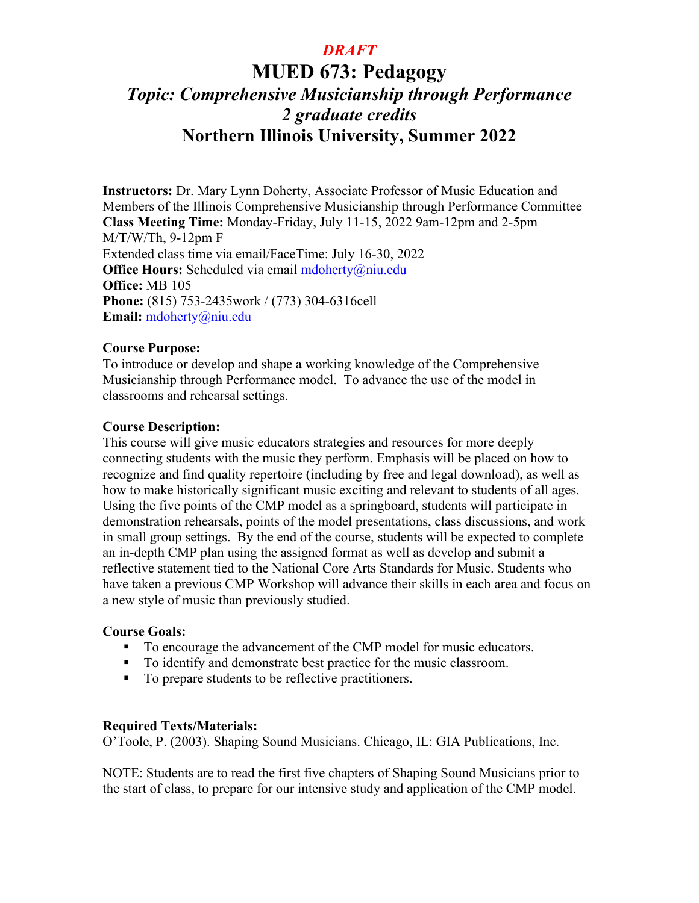# **MUED 673: Pedagogy**  *Topic: Comprehensive Musicianship through Performance 2 graduate credits*  **Northern Illinois University, Summer 2022**

**Instructors:** Dr. Mary Lynn Doherty, Associate Professor of Music Education and Members of the Illinois Comprehensive Musicianship through Performance Committee **Class Meeting Time:** Monday-Friday, July 11-15, 2022 9am-12pm and 2-5pm M/T/W/Th, 9-12pm F Extended class time via email/FaceTime: July 16-30, 2022 **Office Hours:** Scheduled via email [mdoherty@niu.edu](mailto:mdoherty@niu.edu) **Office:** MB 105 **Phone:** (815) 753-2435work / (773) 304-6316cell **Email:** [mdoherty@niu.edu](mailto:mdoherty@niu.edu)

### **Course Purpose:**

To introduce or develop and shape a working knowledge of the Comprehensive Musicianship through Performance model. To advance the use of the model in classrooms and rehearsal settings.

### **Course Description:**

This course will give music educators strategies and resources for more deeply connecting students with the music they perform. Emphasis will be placed on how to recognize and find quality repertoire (including by free and legal download), as well as how to make historically significant music exciting and relevant to students of all ages. Using the five points of the CMP model as a springboard, students will participate in demonstration rehearsals, points of the model presentations, class discussions, and work in small group settings. By the end of the course, students will be expected to complete an in-depth CMP plan using the assigned format as well as develop and submit a reflective statement tied to the National Core Arts Standards for Music. Students who have taken a previous CMP Workshop will advance their skills in each area and focus on a new style of music than previously studied.

### **Course Goals:**

- To encourage the advancement of the CMP model for music educators.
- To identify and demonstrate best practice for the music classroom.
- To prepare students to be reflective practitioners.

### **Required Texts/Materials:**

O'Toole, P. (2003). Shaping Sound Musicians. Chicago, IL: GIA Publications, Inc.

NOTE: Students are to read the first five chapters of Shaping Sound Musicians prior to the start of class, to prepare for our intensive study and application of the CMP model.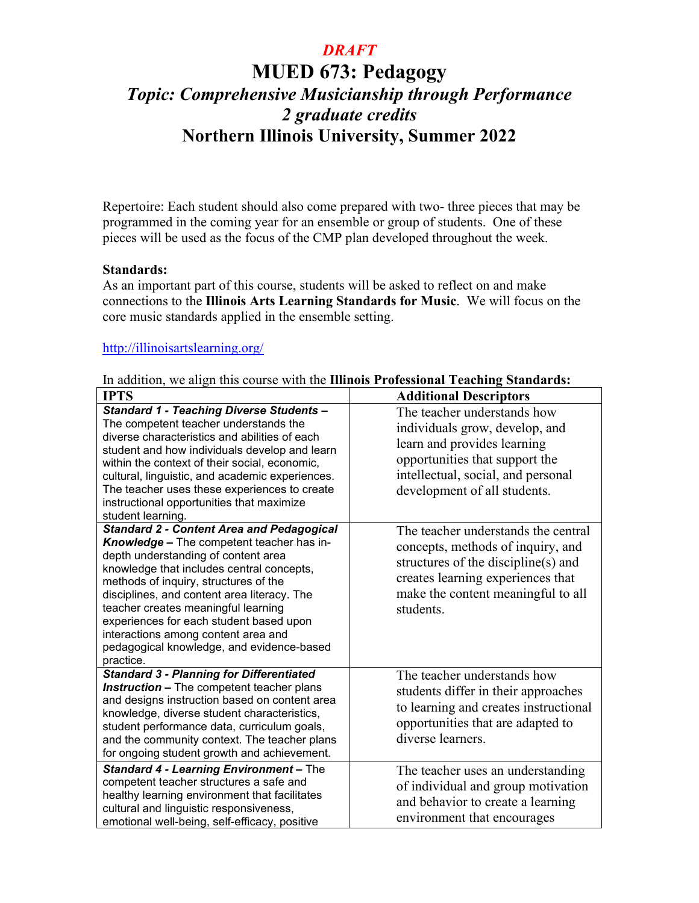# **MUED 673: Pedagogy**  *Topic: Comprehensive Musicianship through Performance 2 graduate credits*  **Northern Illinois University, Summer 2022**

Repertoire: Each student should also come prepared with two- three pieces that may be programmed in the coming year for an ensemble or group of students. One of these pieces will be used as the focus of the CMP plan developed throughout the week.

#### **Standards:**

As an important part of this course, students will be asked to reflect on and make connections to the **Illinois Arts Learning Standards for Music**. We will focus on the core music standards applied in the ensemble setting.

### <http://illinoisartslearning.org/>

|  |  |  |  |  | In addition, we align this course with the Illinois Professional Teaching Standards: |  |  |
|--|--|--|--|--|--------------------------------------------------------------------------------------|--|--|
|--|--|--|--|--|--------------------------------------------------------------------------------------|--|--|

| <b>IPTS</b>                                                                                                                                                                                                                                                                                                                                                                                                                                                  | <b>Additional Descriptors</b>                                                                                                                                                                           |
|--------------------------------------------------------------------------------------------------------------------------------------------------------------------------------------------------------------------------------------------------------------------------------------------------------------------------------------------------------------------------------------------------------------------------------------------------------------|---------------------------------------------------------------------------------------------------------------------------------------------------------------------------------------------------------|
| <b>Standard 1 - Teaching Diverse Students -</b><br>The competent teacher understands the<br>diverse characteristics and abilities of each<br>student and how individuals develop and learn<br>within the context of their social, economic,<br>cultural, linguistic, and academic experiences.<br>The teacher uses these experiences to create<br>instructional opportunities that maximize<br>student learning.                                             | The teacher understands how<br>individuals grow, develop, and<br>learn and provides learning<br>opportunities that support the<br>intellectual, social, and personal<br>development of all students.    |
| <b>Standard 2 - Content Area and Pedagogical</b><br>Knowledge - The competent teacher has in-<br>depth understanding of content area<br>knowledge that includes central concepts,<br>methods of inquiry, structures of the<br>disciplines, and content area literacy. The<br>teacher creates meaningful learning<br>experiences for each student based upon<br>interactions among content area and<br>pedagogical knowledge, and evidence-based<br>practice. | The teacher understands the central<br>concepts, methods of inquiry, and<br>structures of the discipline(s) and<br>creates learning experiences that<br>make the content meaningful to all<br>students. |
| <b>Standard 3 - Planning for Differentiated</b><br><b>Instruction - The competent teacher plans</b><br>and designs instruction based on content area<br>knowledge, diverse student characteristics,<br>student performance data, curriculum goals,<br>and the community context. The teacher plans<br>for ongoing student growth and achievement.                                                                                                            | The teacher understands how<br>students differ in their approaches<br>to learning and creates instructional<br>opportunities that are adapted to<br>diverse learners.                                   |
| Standard 4 - Learning Environment - The<br>competent teacher structures a safe and<br>healthy learning environment that facilitates<br>cultural and linguistic responsiveness,<br>emotional well-being, self-efficacy, positive                                                                                                                                                                                                                              | The teacher uses an understanding<br>of individual and group motivation<br>and behavior to create a learning<br>environment that encourages                                                             |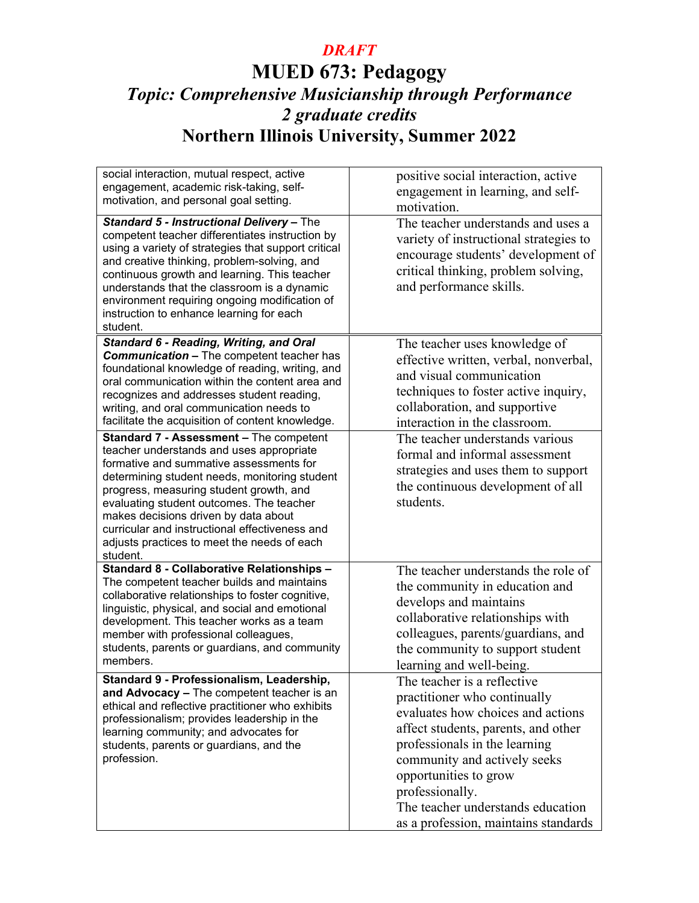# **MUED 673: Pedagogy** *Topic: Comprehensive Musicianship through Performance 2 graduate credits* **Northern Illinois University, Summer 2022**

| social interaction, mutual respect, active<br>engagement, academic risk-taking, self-<br>motivation, and personal goal setting.                                                                                                                                                                                                                                                                                             | positive social interaction, active<br>engagement in learning, and self-<br>motivation.                                                                                                                                                                                                                                           |
|-----------------------------------------------------------------------------------------------------------------------------------------------------------------------------------------------------------------------------------------------------------------------------------------------------------------------------------------------------------------------------------------------------------------------------|-----------------------------------------------------------------------------------------------------------------------------------------------------------------------------------------------------------------------------------------------------------------------------------------------------------------------------------|
| Standard 5 - Instructional Delivery - The<br>competent teacher differentiates instruction by<br>using a variety of strategies that support critical<br>and creative thinking, problem-solving, and<br>continuous growth and learning. This teacher<br>understands that the classroom is a dynamic<br>environment requiring ongoing modification of<br>instruction to enhance learning for each<br>student.                  | The teacher understands and uses a<br>variety of instructional strategies to<br>encourage students' development of<br>critical thinking, problem solving,<br>and performance skills.                                                                                                                                              |
| Standard 6 - Reading, Writing, and Oral<br><b>Communication - The competent teacher has</b><br>foundational knowledge of reading, writing, and<br>oral communication within the content area and<br>recognizes and addresses student reading,<br>writing, and oral communication needs to<br>facilitate the acquisition of content knowledge.                                                                               | The teacher uses knowledge of<br>effective written, verbal, nonverbal,<br>and visual communication<br>techniques to foster active inquiry,<br>collaboration, and supportive<br>interaction in the classroom.                                                                                                                      |
| Standard 7 - Assessment - The competent<br>teacher understands and uses appropriate<br>formative and summative assessments for<br>determining student needs, monitoring student<br>progress, measuring student growth, and<br>evaluating student outcomes. The teacher<br>makes decisions driven by data about<br>curricular and instructional effectiveness and<br>adjusts practices to meet the needs of each<br>student. | The teacher understands various<br>formal and informal assessment<br>strategies and uses them to support<br>the continuous development of all<br>students.                                                                                                                                                                        |
| Standard 8 - Collaborative Relationships -<br>The competent teacher builds and maintains<br>collaborative relationships to foster cognitive,<br>linguistic, physical, and social and emotional<br>development. This teacher works as a team<br>member with professional colleagues,<br>students, parents or guardians, and community<br>members.                                                                            | The teacher understands the role of<br>the community in education and<br>develops and maintains<br>collaborative relationships with<br>colleagues, parents/guardians, and<br>the community to support student<br>learning and well-being.                                                                                         |
| Standard 9 - Professionalism, Leadership,<br>and Advocacy - The competent teacher is an<br>ethical and reflective practitioner who exhibits<br>professionalism; provides leadership in the<br>learning community; and advocates for<br>students, parents or guardians, and the<br>profession.                                                                                                                               | The teacher is a reflective<br>practitioner who continually<br>evaluates how choices and actions<br>affect students, parents, and other<br>professionals in the learning<br>community and actively seeks<br>opportunities to grow<br>professionally.<br>The teacher understands education<br>as a profession, maintains standards |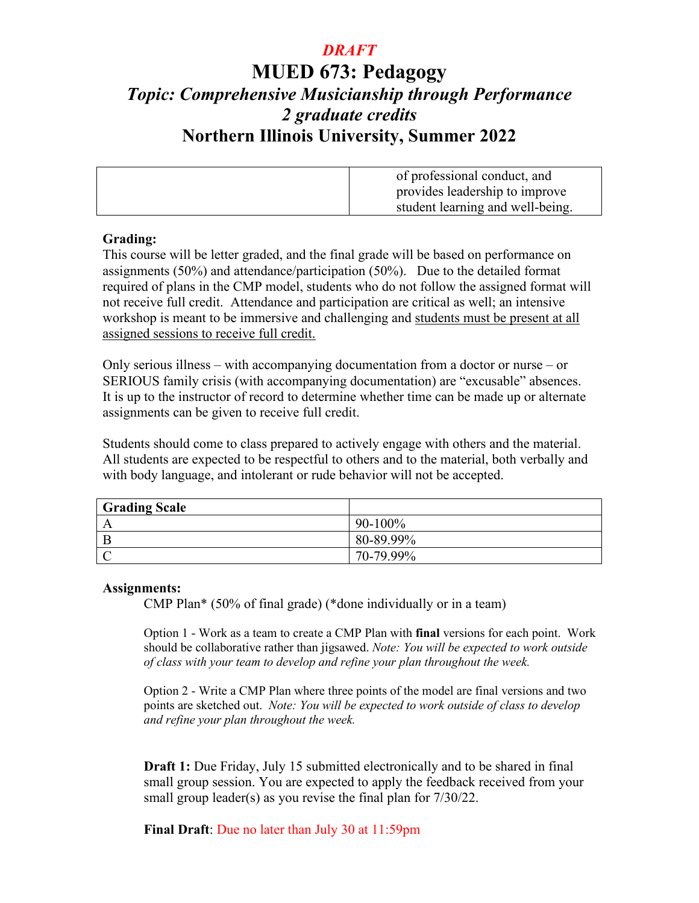## **MUED 673: Pedagogy**  *Topic: Comprehensive Musicianship through Performance 2 graduate credits*  **Northern Illinois University, Summer 2022**

| of professional conduct, and     |
|----------------------------------|
| provides leadership to improve   |
| student learning and well-being. |

### **Grading:**

This course will be letter graded, and the final grade will be based on performance on assignments (50%) and attendance/participation (50%). Due to the detailed format required of plans in the CMP model, students who do not follow the assigned format will not receive full credit. Attendance and participation are critical as well; an intensive workshop is meant to be immersive and challenging and students must be present at all assigned sessions to receive full credit.

Only serious illness – with accompanying documentation from a doctor or nurse – or SERIOUS family crisis (with accompanying documentation) are "excusable" absences. It is up to the instructor of record to determine whether time can be made up or alternate assignments can be given to receive full credit.

Students should come to class prepared to actively engage with others and the material. All students are expected to be respectful to others and to the material, both verbally and with body language, and intolerant or rude behavior will not be accepted.

| <b>Grading Scale</b> |            |
|----------------------|------------|
| A                    | $90-100\%$ |
|                      | 80-89.99%  |
|                      | 70-79.99%  |

### **Assignments:**

CMP Plan\* (50% of final grade) (\*done individually or in a team)

Option 1 - Work as a team to create a CMP Plan with **final** versions for each point. Work should be collaborative rather than jigsawed. *Note: You will be expected to work outside of class with your team to develop and refine your plan throughout the week.* 

Option 2 - Write a CMP Plan where three points of the model are final versions and two points are sketched out. *Note: You will be expected to work outside of class to develop and refine your plan throughout the week.* 

**Draft 1:** Due Friday, July 15 submitted electronically and to be shared in final small group session. You are expected to apply the feedback received from your small group leader(s) as you revise the final plan for 7/30/22.

**Final Draft**: Due no later than July 30 at 11:59pm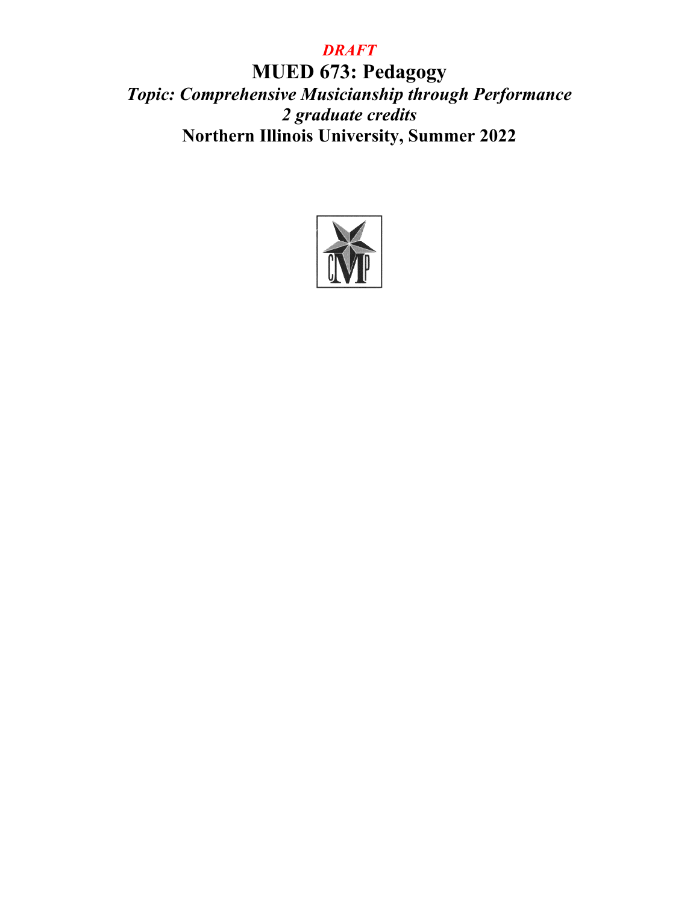**MUED 673: Pedagogy** *Topic: Comprehensive Musicianship through Performance 2 graduate credits* **Northern Illinois University, Summer 2022**

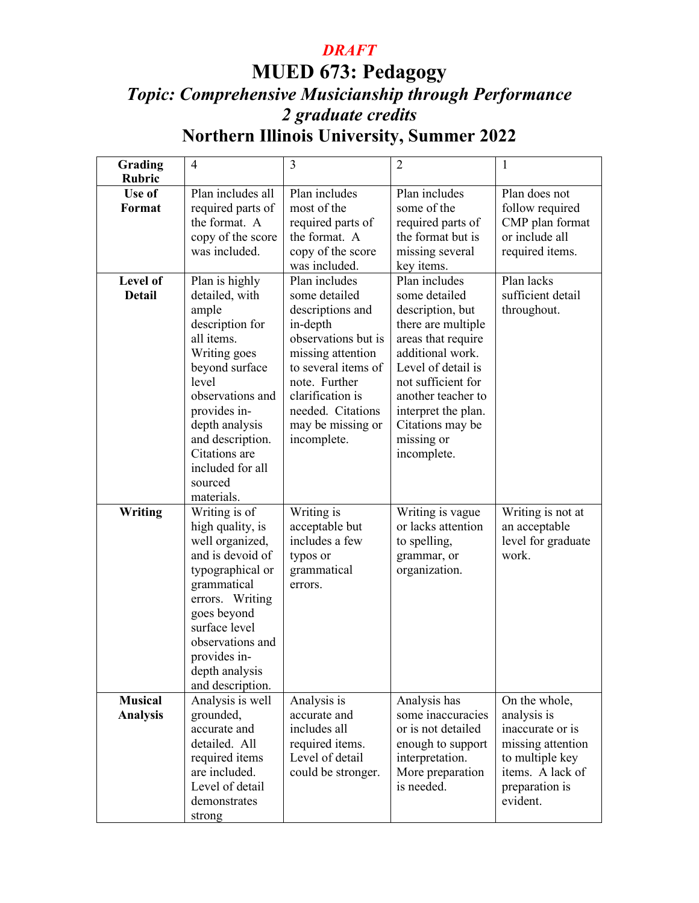# **MUED 673: Pedagogy** *Topic: Comprehensive Musicianship through Performance 2 graduate credits* **Northern Illinois University, Summer 2022**

| Grading<br><b>Rubric</b> | $\overline{4}$    | 3                                  | $\overline{2}$      | 1                  |
|--------------------------|-------------------|------------------------------------|---------------------|--------------------|
| Use of                   | Plan includes all | Plan includes                      | Plan includes       | Plan does not      |
| <b>Format</b>            | required parts of | most of the                        | some of the         | follow required    |
|                          | the format. A     |                                    | required parts of   | CMP plan format    |
|                          | copy of the score | required parts of<br>the format. A | the format but is   | or include all     |
|                          |                   |                                    |                     |                    |
|                          | was included.     | copy of the score                  | missing several     | required items.    |
|                          |                   | was included.                      | key items.          |                    |
| Level of                 | Plan is highly    | Plan includes                      | Plan includes       | Plan lacks         |
| <b>Detail</b>            | detailed, with    | some detailed                      | some detailed       | sufficient detail  |
|                          | ample             | descriptions and                   | description, but    | throughout.        |
|                          | description for   | in-depth                           | there are multiple  |                    |
|                          | all items.        | observations but is                | areas that require  |                    |
|                          | Writing goes      | missing attention                  | additional work.    |                    |
|                          | beyond surface    | to several items of                | Level of detail is  |                    |
|                          | level             | note. Further                      | not sufficient for  |                    |
|                          | observations and  | clarification is                   | another teacher to  |                    |
|                          | provides in-      | needed. Citations                  | interpret the plan. |                    |
|                          | depth analysis    | may be missing or                  | Citations may be    |                    |
|                          | and description.  | incomplete.                        | missing or          |                    |
|                          | Citations are     |                                    | incomplete.         |                    |
|                          | included for all  |                                    |                     |                    |
|                          |                   |                                    |                     |                    |
|                          | sourced           |                                    |                     |                    |
|                          | materials.        |                                    |                     |                    |
| Writing                  | Writing is of     | Writing is                         | Writing is vague    | Writing is not at  |
|                          | high quality, is  | acceptable but                     | or lacks attention  | an acceptable      |
|                          | well organized,   | includes a few                     | to spelling,        | level for graduate |
|                          | and is devoid of  | typos or                           | grammar, or         | work.              |
|                          | typographical or  | grammatical                        | organization.       |                    |
|                          | grammatical       | errors.                            |                     |                    |
|                          | errors. Writing   |                                    |                     |                    |
|                          | goes beyond       |                                    |                     |                    |
|                          | surface level     |                                    |                     |                    |
|                          | observations and  |                                    |                     |                    |
|                          | provides in-      |                                    |                     |                    |
|                          | depth analysis    |                                    |                     |                    |
|                          | and description.  |                                    |                     |                    |
| <b>Musical</b>           | Analysis is well  | Analysis is                        | Analysis has        | On the whole,      |
| <b>Analysis</b>          | grounded,         | accurate and                       | some inaccuracies   | analysis is        |
|                          | accurate and      | includes all                       | or is not detailed  | inaccurate or is   |
|                          | detailed. All     | required items.                    | enough to support   | missing attention  |
|                          | required items    | Level of detail                    | interpretation.     | to multiple key    |
|                          | are included.     |                                    |                     | items. A lack of   |
|                          |                   | could be stronger.                 | More preparation    |                    |
|                          | Level of detail   |                                    | is needed.          | preparation is     |
|                          | demonstrates      |                                    |                     | evident.           |
|                          | strong            |                                    |                     |                    |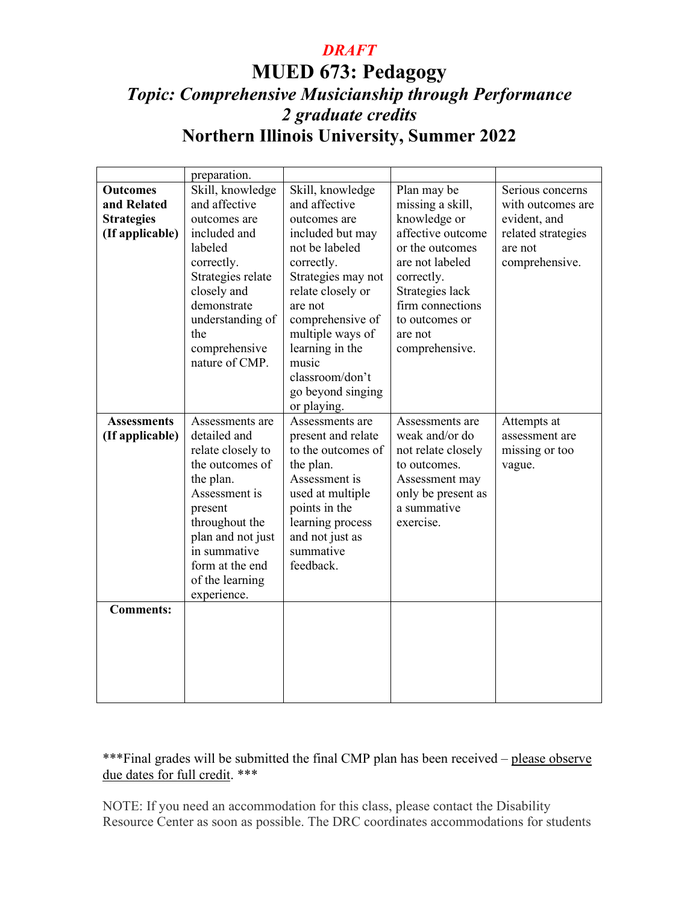## **MUED 673: Pedagogy**  *Topic: Comprehensive Musicianship through Performance 2 graduate credits*  **Northern Illinois University, Summer 2022**

|                    | preparation.      |                    |                    |                    |
|--------------------|-------------------|--------------------|--------------------|--------------------|
| <b>Outcomes</b>    | Skill, knowledge  | Skill, knowledge   | Plan may be        | Serious concerns   |
| and Related        | and affective     | and affective      | missing a skill,   | with outcomes are  |
| <b>Strategies</b>  | outcomes are      | outcomes are       | knowledge or       | evident, and       |
| (If applicable)    | included and      | included but may   | affective outcome  | related strategies |
|                    | labeled           | not be labeled     | or the outcomes    | are not            |
|                    | correctly.        | correctly.         | are not labeled    | comprehensive.     |
|                    | Strategies relate | Strategies may not | correctly.         |                    |
|                    | closely and       | relate closely or  | Strategies lack    |                    |
|                    | demonstrate       | are not            | firm connections   |                    |
|                    | understanding of  | comprehensive of   | to outcomes or     |                    |
|                    | the               | multiple ways of   | are not            |                    |
|                    | comprehensive     | learning in the    | comprehensive.     |                    |
|                    | nature of CMP.    | music              |                    |                    |
|                    |                   | classroom/don't    |                    |                    |
|                    |                   | go beyond singing  |                    |                    |
|                    |                   | or playing.        |                    |                    |
| <b>Assessments</b> | Assessments are   | Assessments are    | Assessments are    | Attempts at        |
| (If applicable)    | detailed and      | present and relate | weak and/or do     | assessment are     |
|                    | relate closely to | to the outcomes of | not relate closely | missing or too     |
|                    | the outcomes of   | the plan.          | to outcomes.       | vague.             |
|                    | the plan.         | Assessment is      | Assessment may     |                    |
|                    | Assessment is     | used at multiple   | only be present as |                    |
|                    | present           | points in the      | a summative        |                    |
|                    | throughout the    | learning process   | exercise.          |                    |
|                    | plan and not just | and not just as    |                    |                    |
|                    | in summative      | summative          |                    |                    |
|                    | form at the end   | feedback.          |                    |                    |
|                    | of the learning   |                    |                    |                    |
|                    | experience.       |                    |                    |                    |
| <b>Comments:</b>   |                   |                    |                    |                    |
|                    |                   |                    |                    |                    |
|                    |                   |                    |                    |                    |
|                    |                   |                    |                    |                    |
|                    |                   |                    |                    |                    |
|                    |                   |                    |                    |                    |
|                    |                   |                    |                    |                    |

### \*\*\*Final grades will be submitted the final CMP plan has been received – please observe due dates for full credit. \*\*\*

NOTE: If you need an accommodation for this class, please contact the Disability Resource Center as soon as possible. The DRC coordinates accommodations for students